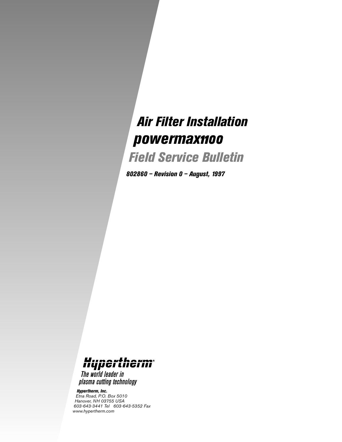## *Air Filter Installation* powermax1100

*Field Service Bulletin*

*802860 – Revision 0 – August, 1997*



The world leader in plasma cutting technology

*Hypertherm, Inc. Etna Road, P.O. Box 5010 Hanover, NH 03755 USA 603-643-3441 Tel 603-643-5352 Fax www.hypertherm.com*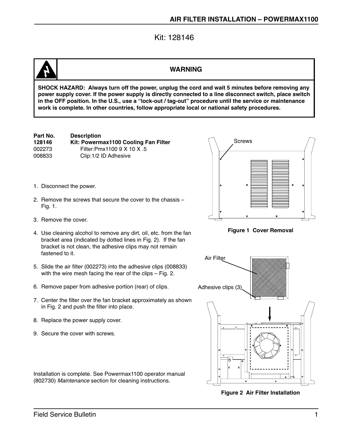Kit: 128146

## **WARNING**

**SHOCK HAZARD: Always turn off the power, unplug the cord and wait 5 minutes before removing any power supply cover. If the power supply is directly connected to a line disconnect switch, place switch in the OFF position. In the U.S., use a "lock-out / tag-out" procedure until the service or maintenance work is complete. In other countries, follow appropriate local or national safety procedures.**

| Part No. | <b>Description</b>                   |
|----------|--------------------------------------|
| 128146   | Kit: Powermax1100 Cooling Fan Filter |
| 002273   | Filter:Pmx1100 9 X 10 X .5           |
| 008833   | Clip:1/2 ID Adhesive                 |

- 1. Disconnect the power.
- 2. Remove the screws that secure the cover to the chassis Fig. 1.
- 3. Remove the cover.
- 4. Use cleaning alcohol to remove any dirt, oil, etc. from the fan bracket area (indicated by dotted lines in Fig. 2). If the fan bracket is not clean, the adhesive clips may not remain fastened to it.
- 5. Slide the air filter (002273) into the adhesive clips (008833) with the wire mesh facing the rear of the clips – Fig. 2.
- 6. Remove paper from adhesive portion (rear) of clips.
- 7. Center the filter over the fan bracket approximately as shown in Fig. 2 and push the filter into place.
- 8. Replace the power supply cover.
- 9. Secure the cover with screws.





**Figure 1 Cover Removal**



**Figure 2 Air Filter Installation**